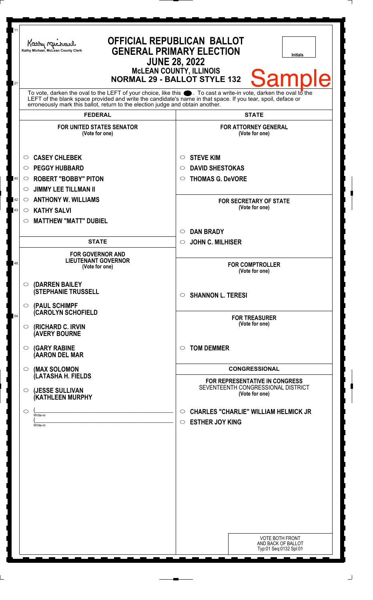| 11<br>21                                            | Kathy Michael<br>Kathy Michael, McLean County Clerk                                                                                                                                                                                                                                                                          | <b>OFFICIAL REPUBLICAN BALLOT</b><br><b>GENERAL PRIMARY ELECTION</b><br><b>Initials</b><br><b>JUNE 28, 2022</b><br><b>McLEAN COUNTY, ILLINOIS</b><br><b>Sample</b><br><b>NORMAL 29 - BALLOT STYLE 132</b> |  |
|-----------------------------------------------------|------------------------------------------------------------------------------------------------------------------------------------------------------------------------------------------------------------------------------------------------------------------------------------------------------------------------------|-----------------------------------------------------------------------------------------------------------------------------------------------------------------------------------------------------------|--|
|                                                     | To vote, darken the oval to the LEFT of your choice, like this $\bullet$ . To cast a write-in vote, darken the oval to the<br>LEFT of the blank space provided and write the candidate's name in that space. If you tear, spoil, deface or<br>erroneously mark this ballot, return to the election judge and obtain another. |                                                                                                                                                                                                           |  |
|                                                     | <b>FEDERAL</b>                                                                                                                                                                                                                                                                                                               | <b>STATE</b>                                                                                                                                                                                              |  |
|                                                     | <b>FOR UNITED STATES SENATOR</b><br>(Vote for one)                                                                                                                                                                                                                                                                           | <b>FOR ATTORNEY GENERAL</b><br>(Vote for one)                                                                                                                                                             |  |
| $\circ$<br>$\circ$<br>40<br>O<br>O<br>42<br>$\circ$ | <b>CASEY CHLEBEK</b><br><b>PEGGY HUBBARD</b><br><b>ROBERT "BOBBY" PITON</b><br><b>JIMMY LEE TILLMAN II</b><br><b>ANTHONY W. WILLIAMS</b>                                                                                                                                                                                     | <b>STEVE KIM</b><br>$\circ$<br><b>DAVID SHESTOKAS</b><br>◯<br><b>THOMAS G. DeVORE</b><br>O<br><b>FOR SECRETARY OF STATE</b><br>(Vote for one)                                                             |  |
| 43<br>$\circ$<br>O                                  | <b>KATHY SALVI</b><br><b>MATTHEW "MATT" DUBIEL</b>                                                                                                                                                                                                                                                                           | <b>DAN BRADY</b><br>$\circ$                                                                                                                                                                               |  |
| 48                                                  | <b>STATE</b><br><b>FOR GOVERNOR AND</b><br><b>LIEUTENANT GOVERNOR</b><br>(Vote for one)                                                                                                                                                                                                                                      | <b>JOHN C. MILHISER</b><br>$\circ$<br><b>FOR COMPTROLLER</b><br>(Vote for one)                                                                                                                            |  |
|                                                     | $\circ$ (DARREN BAILEY<br><b>(STEPHANIE TRUSSELL</b><br>$\circ$ (PAUL SCHIMPF                                                                                                                                                                                                                                                | <b>SHANNON L. TERESI</b><br>$\circ$                                                                                                                                                                       |  |
| 54<br>$\circ$                                       | <b>(CAROLYN SCHOFIELD</b><br>(RICHARD C. IRVIN<br><b>(AVERY BOURNE</b>                                                                                                                                                                                                                                                       | <b>FOR TREASURER</b><br>(Vote for one)                                                                                                                                                                    |  |
|                                                     | $\circ$ (GARY RABINE<br>(AARON DEL MAR                                                                                                                                                                                                                                                                                       | <b>TOM DEMMER</b><br>◯                                                                                                                                                                                    |  |
| $\circ$                                             | (MAX SOLOMON                                                                                                                                                                                                                                                                                                                 | <b>CONGRESSIONAL</b>                                                                                                                                                                                      |  |
| $\circ$                                             | (LATASHA H. FIELDS<br>(JESSE SULLIVAN<br>(KATHLEEN MURPHY                                                                                                                                                                                                                                                                    | <b>FOR REPRESENTATIVE IN CONGRESS</b><br>SEVENTEENTH CONGRESSIONAL DISTRICT<br>(Vote for one)                                                                                                             |  |
| $\circ$                                             | Write-in<br>Write-in                                                                                                                                                                                                                                                                                                         | <b>CHARLES "CHARLIE" WILLIAM HELMICK JR</b><br>$\circ$<br><b>ESTHER JOY KING</b><br>$\circ$                                                                                                               |  |
|                                                     |                                                                                                                                                                                                                                                                                                                              |                                                                                                                                                                                                           |  |
|                                                     |                                                                                                                                                                                                                                                                                                                              | <b>VOTE BOTH FRONT</b><br>AND BACK OF BALLOT<br>Typ:01 Seq:0132 Spl:01                                                                                                                                    |  |

 $\Box$